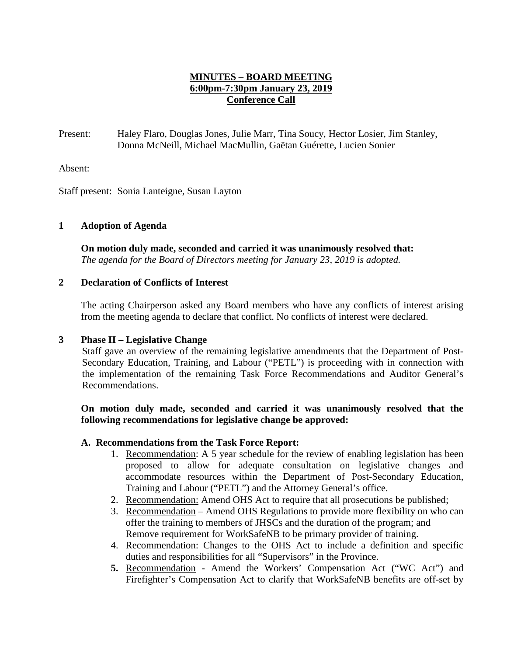### **MINUTES – BOARD MEETING 6:00pm-7:30pm January 23, 2019 Conference Call**

Present: Haley Flaro, Douglas Jones, Julie Marr, Tina Soucy, Hector Losier, Jim Stanley, Donna McNeill, Michael MacMullin, Gaëtan Guérette, Lucien Sonier

Absent:

Staff present: Sonia Lanteigne, Susan Layton

#### **1 Adoption of Agenda**

**On motion duly made, seconded and carried it was unanimously resolved that:** *The agenda for the Board of Directors meeting for January 23, 2019 is adopted.*

#### **2 Declaration of Conflicts of Interest**

The acting Chairperson asked any Board members who have any conflicts of interest arising from the meeting agenda to declare that conflict. No conflicts of interest were declared.

#### **3 Phase II – Legislative Change**

Staff gave an overview of the remaining legislative amendments that the Department of Post-Secondary Education, Training, and Labour ("PETL") is proceeding with in connection with the implementation of the remaining Task Force Recommendations and Auditor General's Recommendations.

#### **On motion duly made, seconded and carried it was unanimously resolved that the following recommendations for legislative change be approved:**

#### **A. Recommendations from the Task Force Report:**

- 1. Recommendation: A 5 year schedule for the review of enabling legislation has been proposed to allow for adequate consultation on legislative changes and accommodate resources within the Department of Post-Secondary Education, Training and Labour ("PETL") and the Attorney General's office.
- 2. Recommendation: Amend OHS Act to require that all prosecutions be published;
- 3. Recommendation Amend OHS Regulations to provide more flexibility on who can offer the training to members of JHSCs and the duration of the program; and Remove requirement for WorkSafeNB to be primary provider of training.
- 4. Recommendation: Changes to the OHS Act to include a definition and specific duties and responsibilities for all "Supervisors" in the Province.
- **5.** Recommendation Amend the Workers' Compensation Act ("WC Act") and Firefighter's Compensation Act to clarify that WorkSafeNB benefits are off-set by